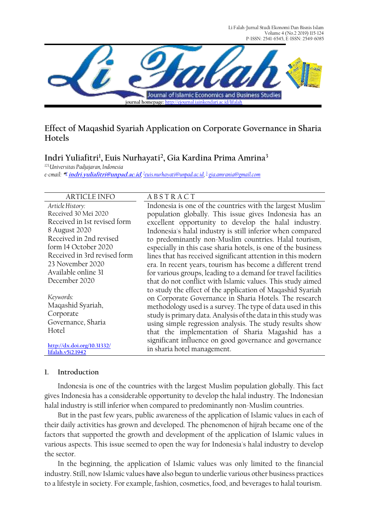Li Falah-Jurnal Studi Ekonomi Dan Bisnis Islam Volume 4 (No.2 2019) 115-124 P-ISSN: 2541-6545, E-ISSN: 2549-6085



## **Effect of Maqashid Syariah Application on Corporate Governance in Sharia Hotels**

# **Indri Yuliafitri<sup>1</sup> , Euis Nurhayati<sup>2</sup> , Gia Kardina Prima Amrina<sup>3</sup>**

*123,Universitas Padjajaran, Indonesia e-cmail:* **\* [1](mailto:1xxxx@xxxx.xxx) indri.yuliafitri@unpad.ac.id***, 2 [e](mailto:2xxx@xxxx.xxx)uis.nurhayati@unpad.ac.id[,](mailto:3xxx@xxxx.xxx)  3 gia.amrania@gmail.com*

#### ARTICLE INFO A B S T R A C T

*Article History:* Received 30 Mei 2020 Received in 1st revised form 8 August 2020 Received in 2nd revised form 14 October 2020 Received in 3rd revised form 23 November 2020 Available online 31 December 2020

*Keywords:*  Maqashid Syariah, Corporate Governance, Sharia Hotel

**[http://dx.doi.org/10.31332/](http://dx.doi.org/10.31332/lifalah.v5i2.1942) [lifalah.v5i2.1942](http://dx.doi.org/10.31332/lifalah.v5i2.1942)**

Indonesia is one of the countries with the largest Muslim population globally. This issue gives Indonesia has an excellent opportunity to develop the halal industry. Indonesia's halal industry is still inferior when compared to predominantly non-Muslim countries. Halal tourism, especially in this case sharia hotels, is one of the business lines that has received significant attention in this modern era. In recent years, tourism has become a different trend for various groups, leading to a demand for travel facilities that do not conflict with Islamic values. This study aimed to study the effect of the application of Maqashid Syariah on Corporate Governance in Sharia Hotels. The research methodology used is a survey. The type of data used in this study is primary data. Analysis of the data in this study was using simple regression analysis. The study results show that the implementation of Sharia Magashid has a significant influence on good governance and governance in sharia hotel management.

#### **1. Introduction**

Indonesia is one of the countries with the largest Muslim population globally. This fact gives Indonesia has a considerable opportunity to develop the halal industry. The Indonesian halal industry is still inferior when compared to predominantly non-Muslim countries.

But in the past few years, public awareness of the application of Islamic values in each of their daily activities has grown and developed. The phenomenon of hijrah became one of the factors that supported the growth and development of the application of Islamic values in various aspects. This issue seemed to open the way for Indonesia's halal industry to develop the sector.

In the beginning, the application of Islamic values was only limited to the financial industry. Still, now Islamic values have also begun to underlie various other business practices to a lifestyle in society. For example, fashion, cosmetics, food, and beverages to halal tourism.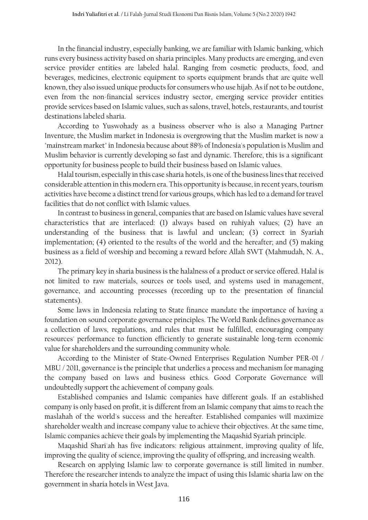In the financial industry, especially banking, we are familiar with Islamic banking, which runs every business activity based on sharia principles. Many products are emerging, and even service provider entities are labeled halal. Ranging from cosmetic products, food, and beverages, medicines, electronic equipment to sports equipment brands that are quite well known, they also issued unique products for consumers who use hijab. As if not to be outdone, even from the non-financial services industry sector, emerging service provider entities provide services based on Islamic values, such as salons, travel, hotels, restaurants, and tourist destinations labeled sharia.

According to Yuswohady as a business observer who is also a Managing Partner Inventure, the Muslim market in Indonesia is overgrowing that the Muslim market is now a "mainstream market" in Indonesia because about 88% of Indonesia's population is Muslim and Muslim behavior is currently developing so fast and dynamic. Therefore, this is a significant opportunity for business people to build their business based on Islamic values.

Halal tourism, especially in this case sharia hotels, is one of the business lines that received considerable attention in this modern era. This opportunity is because, in recent years, tourism activities have become a distinct trend for various groups, which has led to a demand for travel facilities that do not conflict with Islamic values.

In contrast to business in general, companies that are based on Islamic values have several characteristics that are interlaced: (1) always based on ruhiyah values; (2) have an understanding of the business that is lawful and unclean; (3) correct in Syariah implementation; (4) oriented to the results of the world and the hereafter; and (5) making business as a field of worship and becoming a reward before Allah SWT (Mahmudah, N. A., 2012).

The primary key in sharia business is the halalness of a product or service offered. Halal is not limited to raw materials, sources or tools used, and systems used in management, governance, and accounting processes (recording up to the presentation of financial statements).

Some laws in Indonesia relating to State finance mandate the importance of having a foundation on sound corporate governance principles. The World Bank defines governance as a collection of laws, regulations, and rules that must be fulfilled, encouraging company resources' performance to function efficiently to generate sustainable long-term economic value for shareholders and the surrounding community whole.

According to the Minister of State-Owned Enterprises Regulation Number PER-01 / MBU / 2011, governance is the principle that underlies a process and mechanism for managing the company based on laws and business ethics. Good Corporate Governance will undoubtedly support the achievement of company goals.

Established companies and Islamic companies have different goals. If an established company is only based on profit, it is different from an Islamic company that aims to reach the maslahah of the world's success and the hereafter. Established companies will maximize shareholder wealth and increase company value to achieve their objectives. At the same time, Islamic companies achieve their goals by implementing the Maqashid Syariah principle.

Maqashid Shari'ah has five indicators: religious attainment, improving quality of life, improving the quality of science, improving the quality of offspring, and increasing wealth.

Research on applying Islamic law to corporate governance is still limited in number. Therefore the researcher intends to analyze the impact of using this Islamic sharia law on the government in sharia hotels in West Java.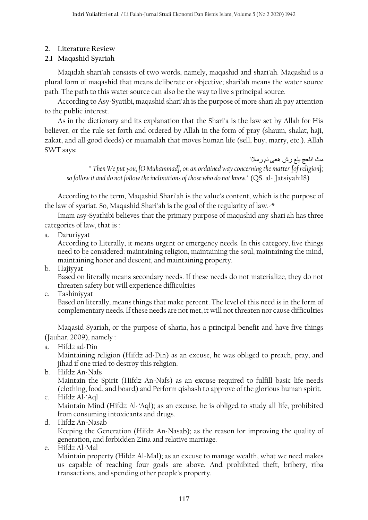## **2. Literature Review**

## **2.1 Maqashid Syariah**

Maqidah shari'ah consists of two words, namely, maqashid and shari'ah. Maqashid is a plural form of maqashid that means deliberate or objective; shari'ah means the water source path. The path to this water source can also be the way to live's principal source.

According to Asy-Syatibi, maqashid shari'ah is the purpose of more shari'ah pay attention to the public interest.

As in the dictionary and its explanation that the Shari'a is the law set by Allah for His believer, or the rule set forth and ordered by Allah in the form of pray (shaum, shalat, haji, zakat, and all good deeds) or muamalah that moves human life (sell, buy, marry, etc.). Allah SWT says:

مث انلعج يلع رش هعى نم رمالا " *Then We put you, [O Muhammad], on an ordained way concerning the matter [of religion]; so follow it and do not follow the inclinations of those who do not know.*" (QS. al- Jatsiyah:18)

According to the term, Maqashid Shari'ah is the value's content, which is the purpose of the law of syariat. So, Maqashid Shari'ah is the goal of the regularity of law.-\*

Imam asy-Syathibi believes that the primary purpose of maqashid any shari'ah has three categories of law, that is :

a. Daruriyyat

According to Literally, it means urgent or emergency needs. In this category, five things need to be considered: maintaining religion, maintaining the soul, maintaining the mind, maintaining honor and descent, and maintaining property.

b. Hajiyyat

Based on literally means secondary needs. If these needs do not materialize, they do not threaten safety but will experience difficulties

c. Tashiniyyat

Based on literally, means things that make percent. The level of this need is in the form of complementary needs. If these needs are not met, it will not threaten nor cause difficulties

Maqasid Syariah, or the purpose of sharia, has a principal benefit and have five things (Jauhar, 2009), namely :

a. Hifdz ad-Din

Maintaining religion (Hifdz ad-Din) as an excuse, he was obliged to preach, pray, and jihad if one tried to destroy this religion.

b. Hifdz An-Nafs

Maintain the Spirit (Hifdz An-Nafs) as an excuse required to fulfill basic life needs (clothing, food, and board) and Perform qishash to approve of the glorious human spirit. c. Hifdz Al-'Aql

Maintain Mind (Hifdz Al-'Aql); as an excuse, he is obliged to study all life, prohibited from consuming intoxicants and drugs.

- d. Hifdz An-Nasab Keeping the Generation (Hifdz An-Nasab); as the reason for improving the quality of generation, and forbidden Zina and relative marriage.
- e. Hifdz Al-Mal

Maintain property (Hifdz Al-Mal); as an excuse to manage wealth, what we need makes us capable of reaching four goals are above. And prohibited theft, bribery, riba transactions, and spending other people's property.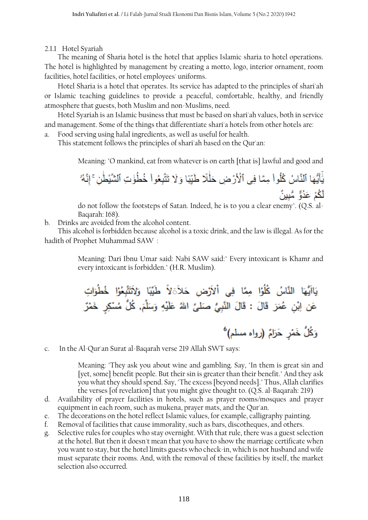2.1.1 Hotel Syariah

The meaning of Sharia hotel is the hotel that applies Islamic sharia to hotel operations. The hotel is highlighted by management by creating a motto, logo, interior ornament, room facilities, hotel facilities, or hotel employees' uniforms.

Hotel Sharia is a hotel that operates. Its service has adapted to the principles of shari'ah or Islamic teaching guidelines to provide a peaceful, comfortable, healthy, and friendly atmosphere that guests, both Muslim and non-Muslims, need.

Hotel Syariah is an Islamic business that must be based on shari'ah values, both in service and management. Some of the things that differentiate shari'a hotels from other hotels are:

Food serving using halal ingredients, as well as useful for health.

This statement follows the principles of shari'ah based on the Qur'an:

Meaning: "O mankind, eat from whatever is on earth [that is] lawful and good and

يَٰٓأَيُّهَا ٱلنَّاسُ كُلُواْ مِمَّا فِي ٱلْأَرْضِ حَلْٰلًا طَيِّبًا وَلَا تَتَّبِعُواْ خُطُّوٰتِ ٱلشَّيْطُنِ ۚ إنَّهُ لَكُمْ عَدُوٌّ مُّبِينٌ

do not follow the footsteps of Satan. Indeed, he is to you a clear enemy". (Q.S. al-Baqarah: 168).

b. Drinks are avoided from the alcohol content.

This alcohol is forbidden because alcohol is a toxic drink, and the law is illegal. As for the hadith of Prophet Muhammad SAW :

> Meaning: Dari Ibnu Umar said: Nabi SAW said:" Every intoxicant is Khamr and every intoxicant is forbidden." (H.R. Muslim).

c. In the Al-Qur'an Surat al-Baqarah verse 219 Allah SWT says:

Meaning: "They ask you about wine and gambling. Say, "In them is great sin and [yet, some] benefit people. But their sin is greater than their benefit." And they ask you what they should spend. Say, "The excess [beyond needs]." Thus, Allah clarifies the verses [of revelation] that you might give thought to. (Q.S. al-Baqarah: 219)

- d. Availability of prayer facilities in hotels, such as prayer rooms/mosques and prayer equipment in each room, such as mukena, prayer mats, and the Qur'an.
- e. The decorations on the hotel reflect Islamic values, for example, calligraphy painting.
- f. Removal of facilities that cause immorality, such as bars, discotheques, and others.
- g. Selective rules for couples who stay overnight. With that rule, there was a guest selection at the hotel. But then it doesn't mean that you have to show the marriage certificate when you want to stay, but the hotel limits guests who check-in, which is not husband and wife must separate their rooms. And, with the removal of these facilities by itself, the market selection also occurred.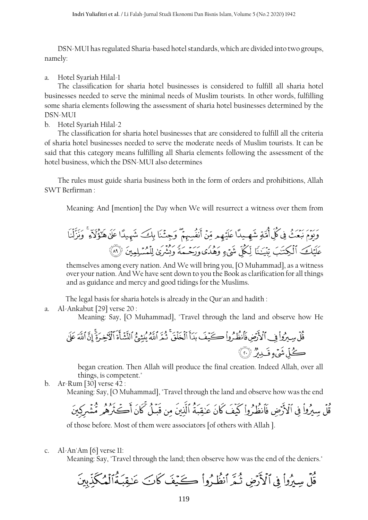DSN-MUI has regulated Sharia-based hotel standards, which are divided into two groups, namely:

#### a. Hotel Syariah Hilal-1

The classification for sharia hotel businesses is considered to fulfill all sharia hotel businesses needed to serve the minimal needs of Muslim tourists. In other words, fulfilling some sharia elements following the assessment of sharia hotel businesses determined by the DSN-MUI

#### b. Hotel Syariah Hilal-2

The classification for sharia hotel businesses that are considered to fulfill all the criteria of sharia hotel businesses needed to serve the moderate needs of Muslim tourists. It can be said that this category means fulfilling all Sharia elements following the assessment of the hotel business, which the DSN-MUI also determines

The rules must guide sharia business both in the form of orders and prohibitions, Allah SWT Berfirman :

Meaning: And [mention] the Day when We will resurrect a witness over them from

themselves among every nation. And We will bring you, [O Muhammad], as a witness over your nation. And We have sent down to you the Book as clarification for all things and as guidance and mercy and good tidings for the Muslims.

The legal basis for sharia hotels is already in the Qur'an and hadith :

a. Al-Ankabut [29] verse 20 :

Meaning: Say, [O Muhammad], "Travel through the land and observe how He

began creation. Then Allah will produce the final creation. Indeed Allah, over all things, is competent."

b. Ar-Rum [30] verse 42 : Meaning: Say, [O Muhammad], "Travel through the land and observe how was the end

of those before. Most of them were associators [of others with Allah ].

c. Al-An'Am [6] verse 11:

Meaning: Say, "Travel through the land; then observe how was the end of the deniers."

قُلْ سِيرُواْ فِي ٱلْأَرْضِ ثُمَّرَ ٱنظُرُواْ كَيْفَ كَانَ عَنِقِبَةُالْمُكَّذِّبِينَ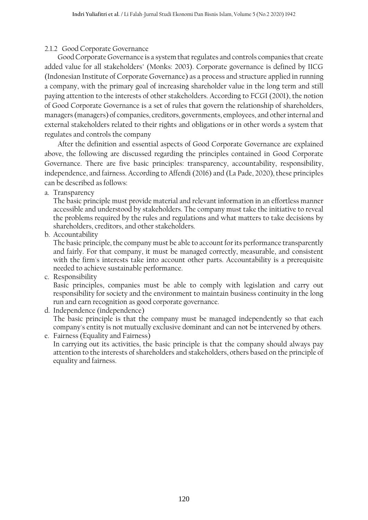## 2.1.2 Good Corporate Governance

Good Corporate Governance is a system that regulates and controls companies that create added value for all stakeholders" (Monks: 2003). Corporate governance is defined by IICG (Indonesian Institute of Corporate Governance) as a process and structure applied in running a company, with the primary goal of increasing shareholder value in the long term and still paying attention to the interests of other stakeholders. According to FCGI (2001), the notion of Good Corporate Governance is a set of rules that govern the relationship of shareholders, managers (managers) of companies, creditors, governments, employees, and other internal and external stakeholders related to their rights and obligations or in other words a system that regulates and controls the company

After the definition and essential aspects of Good Corporate Governance are explained above, the following are discussed regarding the principles contained in Good Corporate Governance. There are five basic principles: transparency, accountability, responsibility, independence, and fairness. According to Affendi (2016) and (La Pade, 2020), these principles can be described as follows:

a. Transparency

The basic principle must provide material and relevant information in an effortless manner accessible and understood by stakeholders. The company must take the initiative to reveal the problems required by the rules and regulations and what matters to take decisions by shareholders, creditors, and other stakeholders.

b. Accountability

The basic principle, the company must be able to account for its performance transparently and fairly. For that company, it must be managed correctly, measurable, and consistent with the firm's interests take into account other parts. Accountability is a prerequisite needed to achieve sustainable performance.

c. Responsibility

Basic principles, companies must be able to comply with legislation and carry out responsibility for society and the environment to maintain business continuity in the long run and earn recognition as good corporate governance.

- d. Independence (independence) The basic principle is that the company must be managed independently so that each company's entity is not mutually exclusive dominant and can not be intervened by others.
- e. Fairness (Equality and Fairness) In carrying out its activities, the basic principle is that the company should always pay attention to the interests of shareholders and stakeholders, others based on the principle of equality and fairness.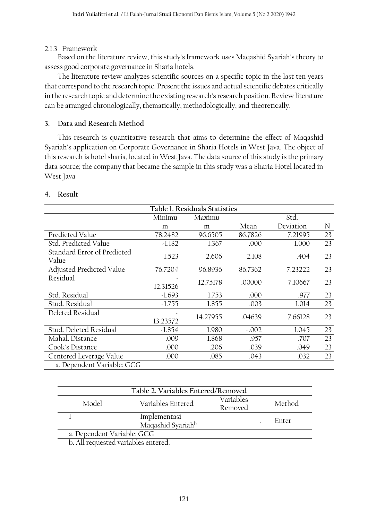## 2.1.3 Framework

Based on the literature review, this study's framework uses Maqashid Syariah's theory to assess good corporate governance in Sharia hotels.

The literature review analyzes scientific sources on a specific topic in the last ten years that correspond to the research topic. Present the issues and actual scientific debates critically in the research topic and determine the existing research's research position. Review literature can be arranged chronologically, thematically, methodologically, and theoretically.

## **3. Data and Research Method**

This research is quantitative research that aims to determine the effect of Maqashid Syariah's application on Corporate Governance in Sharia Hotels in West Java. The object of this research is hotel sharia, located in West Java. The data source of this study is the primary data source; the company that became the sample in this study was a Sharia Hotel located in West Java

| Table 1. Residuals Statistics        |                          |          |         |           |    |  |
|--------------------------------------|--------------------------|----------|---------|-----------|----|--|
|                                      | Std.<br>Minimu<br>Maximu |          |         |           |    |  |
|                                      | m                        | m        | Mean    | Deviation | N  |  |
| Predicted Value                      | 78.2482                  | 96.6505  | 86.7826 | 7.21995   | 23 |  |
| Std. Predicted Value                 | $-1.182$                 | 1.367    | .000    | 1.000     | 23 |  |
| Standard Error of Predicted<br>Value | 1.523                    | 2.606    | 2.108   | .404      | 23 |  |
| Adjusted Predicted Value             | 76.7204                  | 96.8936  | 86.7362 | 7.23222   | 23 |  |
| Residual                             | 12.31526                 | 12.75178 | .00000  | 7.10667   | 23 |  |
| Std. Residual                        | $-1.693$                 | 1.753    | .000    | .977      | 23 |  |
| Stud. Residual                       | $-1.755$                 | 1.855    | .003    | 1.014     | 23 |  |
| Deleted Residual                     | 13.23572                 | 14.27955 | .04639  | 7.66128   | 23 |  |
| Stud. Deleted Residual               | $-1.854$                 | 1.980    | $-.002$ | 1.045     | 23 |  |
| Mahal. Distance                      | .009                     | 1.868    | .957    | .707      | 23 |  |
| Cook's Distance                      | .000                     | .206     | .039    | .049      | 23 |  |
| Centered Leverage Value              | .000                     | .085     | .043    | .032      | 23 |  |
| a. Dependent Variable: GCG           |                          |          |         |           |    |  |

## **4. Result**

| Table 2. Variables Entered/Removed  |                                               |                      |        |  |  |  |
|-------------------------------------|-----------------------------------------------|----------------------|--------|--|--|--|
| Model                               | Variables Entered                             | Variables<br>Removed | Method |  |  |  |
|                                     | Implementasi<br>Maqashid Syariah <sup>b</sup> |                      | Enter  |  |  |  |
| a. Dependent Variable: GCG          |                                               |                      |        |  |  |  |
| b. All requested variables entered. |                                               |                      |        |  |  |  |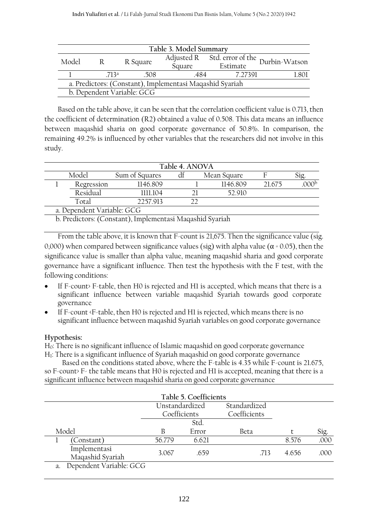| Table 3. Model Summary                                   |              |                            |        |                                                                |       |  |
|----------------------------------------------------------|--------------|----------------------------|--------|----------------------------------------------------------------|-------|--|
| Model                                                    | $\mathbb{R}$ | R Square                   |        | $\overline{\text{Adjusted R}}$ Std. error of the Durbin-Watson |       |  |
|                                                          |              |                            | Square | Estimate                                                       |       |  |
|                                                          | 713a         | .508                       | -484   | 7.27391                                                        | 1.801 |  |
| a. Predictors: (Constant), Implementasi Maqashid Syariah |              |                            |        |                                                                |       |  |
|                                                          |              | b. Dependent Variable: GCG |        |                                                                |       |  |

Based on the table above, it can be seen that the correlation coefficient value is 0.713, then the coefficient of determination (R2) obtained a value of 0.508. This data means an influence between maqashid sharia on good corporate governance of 50.8%. In comparison, the remaining 49.2% is influenced by other variables that the researchers did not involve in this study.

|                            | Table 4. ANOVA |                |  |  |             |        |  |
|----------------------------|----------------|----------------|--|--|-------------|--------|--|
| Model                      |                | Sum of Squares |  |  | Mean Square |        |  |
|                            | Regression     | 1146.809       |  |  | 1146.809    | 21.675 |  |
|                            | Residual       | 1111.104       |  |  | 52.910      |        |  |
|                            | Total          | 2257.913       |  |  |             |        |  |
| a. Dependent Variable: GCG |                |                |  |  |             |        |  |

b. Predictors: (Constant), Implementasi Maqashid Syariah

From the table above, it is known that F-count is 21,675. Then the significance value (sig. 0,000) when compared between significance values (sig) with alpha value ( $\alpha$  = 0.05), then the significance value is smaller than alpha value, meaning maqashid sharia and good corporate governance have a significant influence. Then test the hypothesis with the F test, with the following conditions:

- If F-count> F-table, then H0 is rejected and H1 is accepted, which means that there is a significant influence between variable maqashid Syariah towards good corporate governance
- If F-count <F-table, then H0 is rejected and H1 is rejected, which means there is no significant influence between maqashid Syariah variables on good corporate governance

## **Hypothesis:**

H0: There is no significant influence of Islamic maqashid on good corporate governance H1: There is a significant influence of Syariah maqashid on good corporate governance

Based on the conditions stated above, where the F-table is 4.35 while F-count is 21.675, so F-count> F- the table means that H0 is rejected and H1 is accepted, meaning that there is a significant influence between maqashid sharia on good corporate governance

|                                  |                | Table 5. Coefficients |              |       |      |
|----------------------------------|----------------|-----------------------|--------------|-------|------|
|                                  | Unstandardized |                       | Standardized |       |      |
|                                  | Coefficients   |                       | Coefficients |       |      |
|                                  |                | Std.                  |              |       |      |
| Model                            |                | Error                 | Beta         |       | Sig. |
| (Constant)                       | 56.779         | 6.621                 |              | 8.576 | .000 |
| Implementasi<br>Maqashid Syariah | 3.067          | .659                  | .713         | 4.656 | .000 |
| a. Dependent Variable: GCG       |                |                       |              |       |      |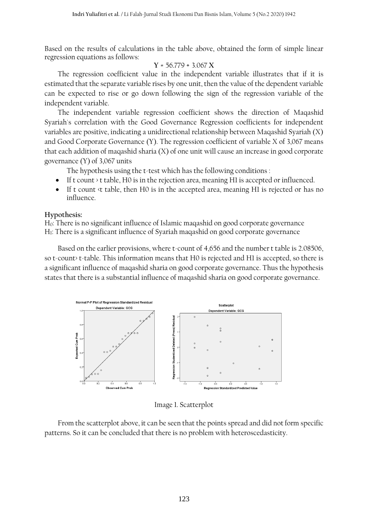Based on the results of calculations in the table above, obtained the form of simple linear regression equations as follows:

$$
Y = 56.779 + 3.067 X
$$

The regression coefficient value in the independent variable illustrates that if it is estimated that the separate variable rises by one unit, then the value of the dependent variable can be expected to rise or go down following the sign of the regression variable of the independent variable.

The independent variable regression coefficient shows the direction of Maqashid Syariah's correlation with the Good Governance Regression coefficients for independent variables are positive, indicating a unidirectional relationship between Maqashid Syariah (X) and Good Corporate Governance (Y). The regression coefficient of variable X of 3,067 means that each addition of maqashid sharia (X) of one unit will cause an increase in good corporate governance (Y) of 3,067 units

The hypothesis using the t-test which has the following conditions :

- If t count > t table, H0 is in the rejection area, meaning H1 is accepted or influenced.
- If t count <t table, then H0 is in the accepted area, meaning H1 is rejected or has no influence.

#### **Hypothesis:**

H0: There is no significant influence of Islamic maqashid on good corporate governance H1: There is a significant influence of Syariah maqashid on good corporate governance

Based on the earlier provisions, where t-count of 4,656 and the number t table is 2.08506, so t-count> t-table. This information means that H0 is rejected and H1 is accepted, so there is a significant influence of maqashid sharia on good corporate governance. Thus the hypothesis states that there is a substantial influence of maqashid sharia on good corporate governance.



Image 1. Scatterplot

From the scatterplot above, it can be seen that the points spread and did not form specific patterns. So it can be concluded that there is no problem with heteroscedasticity.